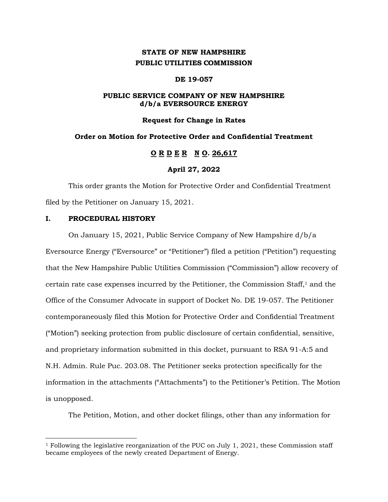# **STATE OF NEW HAMPSHIRE PUBLIC UTILITIES COMMISSION**

#### **DE 19-057**

## **PUBLIC SERVICE COMPANY OF NEW HAMPSHIRE d/b/a EVERSOURCE ENERGY**

#### **Request for Change in Rates**

# **Order on Motion for Protective Order and Confidential Treatment**

# **O R D E R N O. 26,617**

## **April 27, 2022**

This order grants the Motion for Protective Order and Confidential Treatment filed by the Petitioner on January 15, 2021.

## **I. PROCEDURAL HISTORY**

On January 15, 2021, Public Service Company of New Hampshire d/b/a Eversource Energy ("Eversource" or "Petitioner") filed a petition ("Petition") requesting that the New Hampshire Public Utilities Commission ("Commission") allow recovery of certain rate case expenses incurred by the Petitioner, the Commission Staff, $1$  and the Office of the Consumer Advocate in support of Docket No. DE 19-057. The Petitioner contemporaneously filed this Motion for Protective Order and Confidential Treatment ("Motion") seeking protection from public disclosure of certain confidential, sensitive, and proprietary information submitted in this docket, pursuant to RSA 91-A:5 and N.H. Admin. Rule Puc. 203.08. The Petitioner seeks protection specifically for the information in the attachments ("Attachments") to the Petitioner's Petition. The Motion is unopposed.

The Petition, Motion, and other docket filings, other than any information for

<sup>&</sup>lt;sup>1</sup> Following the legislative reorganization of the PUC on July 1, 2021, these Commission staff became employees of the newly created Department of Energy.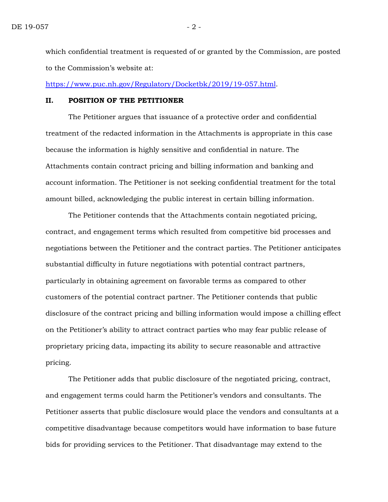which confidential treatment is requested of or granted by the Commission, are posted to the Commission's website at:

[https://www.puc.nh.gov/Regulatory/Docketbk/2019/19-057.html.](https://www.puc.nh.gov/Regulatory/Docketbk/2019/19-057.html)

### **II. POSITION OF THE PETITIONER**

The Petitioner argues that issuance of a protective order and confidential treatment of the redacted information in the Attachments is appropriate in this case because the information is highly sensitive and confidential in nature. The Attachments contain contract pricing and billing information and banking and account information. The Petitioner is not seeking confidential treatment for the total amount billed, acknowledging the public interest in certain billing information.

The Petitioner contends that the Attachments contain negotiated pricing, contract, and engagement terms which resulted from competitive bid processes and negotiations between the Petitioner and the contract parties. The Petitioner anticipates substantial difficulty in future negotiations with potential contract partners, particularly in obtaining agreement on favorable terms as compared to other customers of the potential contract partner. The Petitioner contends that public disclosure of the contract pricing and billing information would impose a chilling effect on the Petitioner's ability to attract contract parties who may fear public release of proprietary pricing data, impacting its ability to secure reasonable and attractive pricing.

The Petitioner adds that public disclosure of the negotiated pricing, contract, and engagement terms could harm the Petitioner's vendors and consultants. The Petitioner asserts that public disclosure would place the vendors and consultants at a competitive disadvantage because competitors would have information to base future bids for providing services to the Petitioner. That disadvantage may extend to the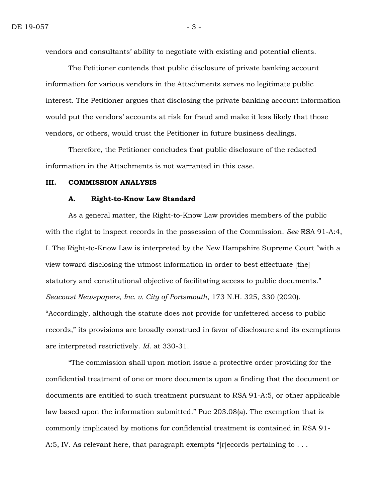vendors and consultants' ability to negotiate with existing and potential clients.

The Petitioner contends that public disclosure of private banking account information for various vendors in the Attachments serves no legitimate public interest. The Petitioner argues that disclosing the private banking account information would put the vendors' accounts at risk for fraud and make it less likely that those vendors, or others, would trust the Petitioner in future business dealings.

Therefore, the Petitioner concludes that public disclosure of the redacted information in the Attachments is not warranted in this case.

## **III. COMMISSION ANALYSIS**

#### **A. Right-to-Know Law Standard**

As a general matter, the Right-to-Know Law provides members of the public with the right to inspect records in the possession of the Commission. *See* RSA 91-A:4, I. The Right-to-Know Law is interpreted by the New Hampshire Supreme Court "with a view toward disclosing the utmost information in order to best effectuate [the] statutory and constitutional objective of facilitating access to public documents." *Seacoast Newspapers, Inc. v. City of Portsmouth*, 173 N.H. 325, 330 (2020). "Accordingly, although the statute does not provide for unfettered access to public records," its provisions are broadly construed in favor of disclosure and its exemptions are interpreted restrictively. *Id*. at 330-31.

"The commission shall upon motion issue a protective order providing for the confidential treatment of one or more documents upon a finding that the document or documents are entitled to such treatment pursuant to RSA 91-A:5, or other applicable law based upon the information submitted." Puc 203.08(a). The exemption that is commonly implicated by motions for confidential treatment is contained in RSA 91- A:5, IV. As relevant here, that paragraph exempts " $[r]$ ecords pertaining to  $\dots$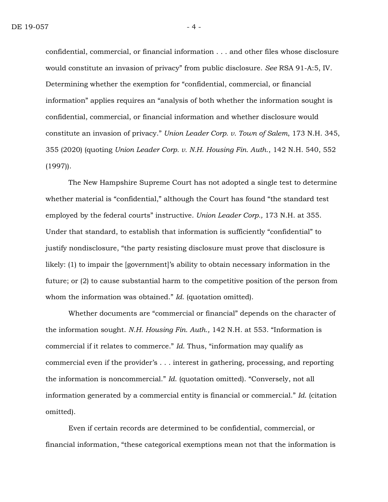confidential, commercial, or financial information . . . and other files whose disclosure would constitute an invasion of privacy" from public disclosure. *See* RSA 91-A:5, IV. Determining whether the exemption for "confidential, commercial, or financial information" applies requires an "analysis of both whether the information sought is confidential, commercial, or financial information and whether disclosure would constitute an invasion of privacy." *Union Leader Corp. v. Town of Salem*, 173 N.H. 345, 355 (2020) (quoting *Union Leader Corp. v. N.H. Housing Fin. Auth.*, 142 N.H. 540, 552 (1997)).

The New Hampshire Supreme Court has not adopted a single test to determine whether material is "confidential," although the Court has found "the standard test employed by the federal courts" instructive. *Union Leader Corp.,* 173 N.H. at 355. Under that standard, to establish that information is sufficiently "confidential" to justify nondisclosure, "the party resisting disclosure must prove that disclosure is likely: (1) to impair the [government]'s ability to obtain necessary information in the future; or (2) to cause substantial harm to the competitive position of the person from whom the information was obtained." *Id*. (quotation omitted).

Whether documents are "commercial or financial" depends on the character of the information sought. *N.H. Housing Fin. Auth.,* 142 N.H. at 553. "Information is commercial if it relates to commerce." *Id*. Thus, "information may qualify as commercial even if the provider's . . . interest in gathering, processing, and reporting the information is noncommercial." *Id*. (quotation omitted). "Conversely, not all information generated by a commercial entity is financial or commercial." *Id*. (citation omitted).

Even if certain records are determined to be confidential, commercial, or financial information, "these categorical exemptions mean not that the information is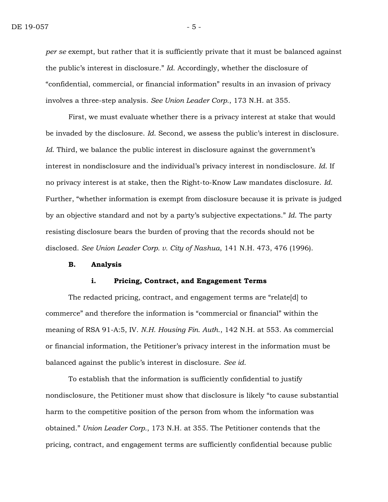*per se* exempt, but rather that it is sufficiently private that it must be balanced against the public's interest in disclosure." *Id*. Accordingly, whether the disclosure of "confidential, commercial, or financial information" results in an invasion of privacy involves a three-step analysis. *See Union Leader Corp.*, 173 N.H. at 355.

First, we must evaluate whether there is a privacy interest at stake that would be invaded by the disclosure. *Id*. Second, we assess the public's interest in disclosure. *Id.* Third, we balance the public interest in disclosure against the government's interest in nondisclosure and the individual's privacy interest in nondisclosure. *Id*. If no privacy interest is at stake, then the Right-to-Know Law mandates disclosure. *Id*. Further, "whether information is exempt from disclosure because it is private is judged by an objective standard and not by a party's subjective expectations." *Id*. The party resisting disclosure bears the burden of proving that the records should not be disclosed. *See Union Leader Corp. v. City of Nashua*, 141 N.H. 473, 476 (1996).

# **B. Analysis**

#### **i. Pricing, Contract, and Engagement Terms**

The redacted pricing, contract, and engagement terms are "relate[d] to commerce" and therefore the information is "commercial or financial" within the meaning of RSA 91-A:5, IV. *N.H. Housing Fin. Auth.*, 142 N.H. at 553. As commercial or financial information, the Petitioner's privacy interest in the information must be balanced against the public's interest in disclosure. *See id.* 

To establish that the information is sufficiently confidential to justify nondisclosure, the Petitioner must show that disclosure is likely "to cause substantial harm to the competitive position of the person from whom the information was obtained." *Union Leader Corp.*, 173 N.H. at 355. The Petitioner contends that the pricing, contract, and engagement terms are sufficiently confidential because public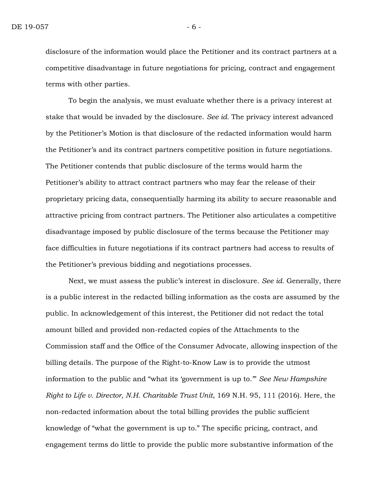disclosure of the information would place the Petitioner and its contract partners at a competitive disadvantage in future negotiations for pricing, contract and engagement terms with other parties.

To begin the analysis, we must evaluate whether there is a privacy interest at stake that would be invaded by the disclosure. *See id.* The privacy interest advanced by the Petitioner's Motion is that disclosure of the redacted information would harm the Petitioner's and its contract partners competitive position in future negotiations. The Petitioner contends that public disclosure of the terms would harm the Petitioner's ability to attract contract partners who may fear the release of their proprietary pricing data, consequentially harming its ability to secure reasonable and attractive pricing from contract partners. The Petitioner also articulates a competitive disadvantage imposed by public disclosure of the terms because the Petitioner may face difficulties in future negotiations if its contract partners had access to results of the Petitioner's previous bidding and negotiations processes.

Next, we must assess the public's interest in disclosure. *See id.* Generally, there is a public interest in the redacted billing information as the costs are assumed by the public. In acknowledgement of this interest, the Petitioner did not redact the total amount billed and provided non-redacted copies of the Attachments to the Commission staff and the Office of the Consumer Advocate, allowing inspection of the billing details. The purpose of the Right-to-Know Law is to provide the utmost information to the public and "what its 'government is up to.'" *See New Hampshire Right to Life v. Director, N.H. Charitable Trust Unit*, 169 N.H. 95, 111 (2016). Here, the non-redacted information about the total billing provides the public sufficient knowledge of "what the government is up to." The specific pricing, contract, and engagement terms do little to provide the public more substantive information of the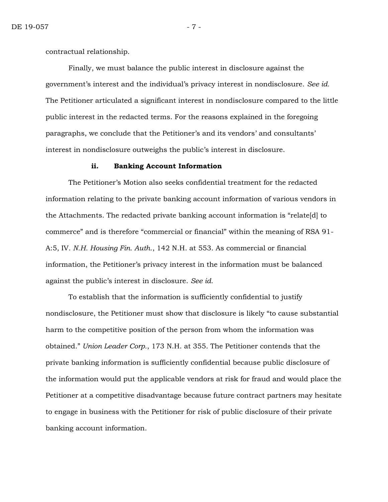contractual relationship.

Finally, we must balance the public interest in disclosure against the government's interest and the individual's privacy interest in nondisclosure. *See id.* The Petitioner articulated a significant interest in nondisclosure compared to the little public interest in the redacted terms. For the reasons explained in the foregoing paragraphs, we conclude that the Petitioner's and its vendors' and consultants' interest in nondisclosure outweighs the public's interest in disclosure.

#### **ii. Banking Account Information**

The Petitioner's Motion also seeks confidential treatment for the redacted information relating to the private banking account information of various vendors in the Attachments. The redacted private banking account information is "relate[d] to commerce" and is therefore "commercial or financial" within the meaning of RSA 91- A:5, IV. *N.H. Housing Fin. Auth.*, 142 N.H. at 553. As commercial or financial information, the Petitioner's privacy interest in the information must be balanced against the public's interest in disclosure. *See id.* 

To establish that the information is sufficiently confidential to justify nondisclosure, the Petitioner must show that disclosure is likely "to cause substantial harm to the competitive position of the person from whom the information was obtained." *Union Leader Corp.*, 173 N.H. at 355. The Petitioner contends that the private banking information is sufficiently confidential because public disclosure of the information would put the applicable vendors at risk for fraud and would place the Petitioner at a competitive disadvantage because future contract partners may hesitate to engage in business with the Petitioner for risk of public disclosure of their private banking account information.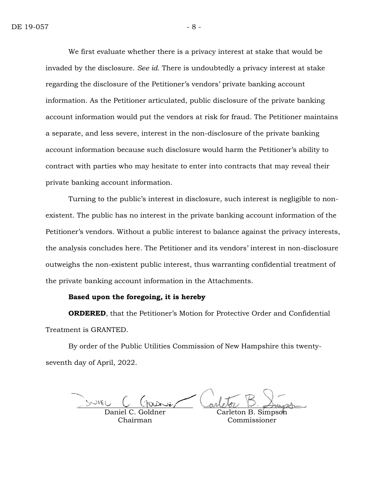We first evaluate whether there is a privacy interest at stake that would be invaded by the disclosure. *See id.* There is undoubtedly a privacy interest at stake regarding the disclosure of the Petitioner's vendors' private banking account information. As the Petitioner articulated, public disclosure of the private banking account information would put the vendors at risk for fraud. The Petitioner maintains a separate, and less severe, interest in the non-disclosure of the private banking account information because such disclosure would harm the Petitioner's ability to contract with parties who may hesitate to enter into contracts that may reveal their private banking account information.

Turning to the public's interest in disclosure, such interest is negligible to nonexistent. The public has no interest in the private banking account information of the Petitioner's vendors. Without a public interest to balance against the privacy interests, the analysis concludes here. The Petitioner and its vendors' interest in non-disclosure outweighs the non-existent public interest, thus warranting confidential treatment of the private banking account information in the Attachments.

## **Based upon the foregoing, it is hereby**

**ORDERED**, that the Petitioner's Motion for Protective Order and Confidential Treatment is GRANTED.

By order of the Public Utilities Commission of New Hampshire this twentyseventh day of April, 2022.

Daniel C. Goldner Chairman

Carleton B. Simpson Commissioner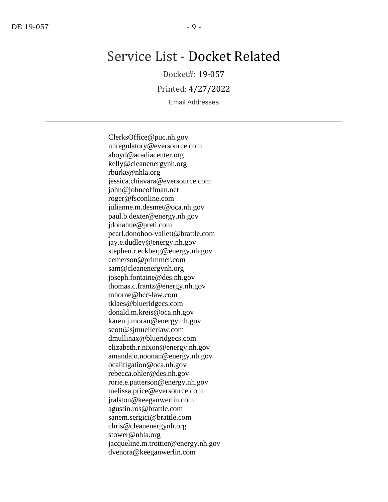# Service List - Docket Related

Docket#: 19-057

Printed: 4/27/2022

Email Addresses

ClerksOffice@puc.nh.gov nhregulatory@eversource.com aboyd@acadiacenter.org kelly@cleanenergynh.org rburke@nhla.org jessica.chiavara@eversource.com john@johncoffman.net roger@fsconline.com julianne.m.desmet@oca.nh.gov paul.b.dexter@energy.nh.gov jdonahue@preti.com pearl.donohoo-vallett@brattle.com jay.e.dudley@energy.nh.gov stephen.r.eckberg@energy.nh.gov eemerson@primmer.com sam@cleanenergynh.org joseph.fontaine@des.nh.gov thomas.c.frantz@energy.nh.gov mhorne@hcc-law.com tklaes@blueridgecs.com donald.m.kreis@oca.nh.gov karen.j.moran@energy.nh.gov scott@sjmuellerlaw.com dmullinax@blueridgecs.com elizabeth.r.nixon@energy.nh.gov amanda.o.noonan@energy.nh.gov ocalitigation@oca.nh.gov rebecca.ohler@des.nh.gov rorie.e.patterson@energy.nh.gov melissa.price@eversource.com jralston@keeganwerlin.com agustin.ros@brattle.com sanem.sergici@brattle.com chris@cleanenergynh.org stower@nhla.org jacqueline.m.trottier@energy.nh.gov dvenora@keeganwerlin.com